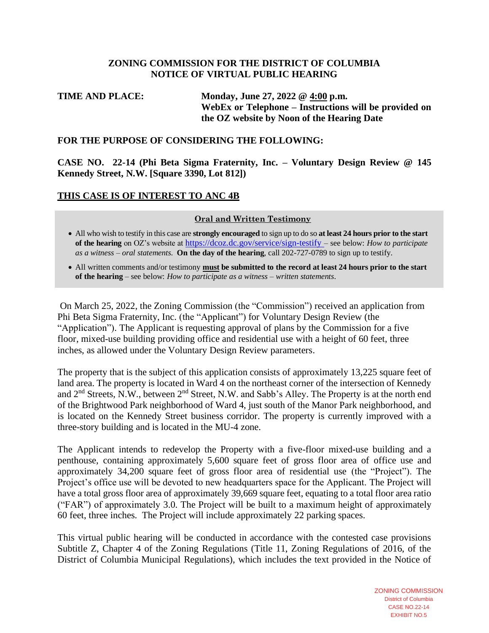#### **ZONING COMMISSION FOR THE DISTRICT OF COLUMBIA NOTICE OF VIRTUAL PUBLIC HEARING**

# **TIME AND PLACE: Monday, June 27, 2022 @ 4:00 p.m. WebEx or Telephone – Instructions will be provided on the OZ website by Noon of the Hearing Date**

#### **FOR THE PURPOSE OF CONSIDERING THE FOLLOWING:**

**CASE NO. 22-14 (Phi Beta Sigma Fraternity, Inc. – Voluntary Design Review @ 145 Kennedy Street, N.W. [Square 3390, Lot 812])**

### **THIS CASE IS OF INTEREST TO ANC 4B**

#### **Oral and Written Testimony**

- All who wish to testify in this case are **strongly encouraged** to sign up to do so **at least 24 hours prior to the start of the hearing** on OZ's website at <https://dcoz.dc.gov/service/sign-testify> – see below: *How to participate as a witness – oral statements*. **On the day of the hearing**, call 202-727-0789 to sign up to testify.
- All written comments and/or testimony **must be submitted to the record at least 24 hours prior to the start of the hearing** – see below: *How to participate as a witness – written statements*.

On March 25, 2022, the Zoning Commission (the "Commission") received an application from Phi Beta Sigma Fraternity, Inc. (the "Applicant") for Voluntary Design Review (the "Application"). The Applicant is requesting approval of plans by the Commission for a five floor, mixed-use building providing office and residential use with a height of 60 feet, three inches, as allowed under the Voluntary Design Review parameters.

The property that is the subject of this application consists of approximately 13,225 square feet of land area. The property is located in Ward 4 on the northeast corner of the intersection of Kennedy and 2<sup>nd</sup> Streets, N.W., between 2<sup>nd</sup> Street, N.W. and Sabb's Alley. The Property is at the north end of the Brightwood Park neighborhood of Ward 4, just south of the Manor Park neighborhood, and is located on the Kennedy Street business corridor. The property is currently improved with a three-story building and is located in the MU-4 zone.

The Applicant intends to redevelop the Property with a five-floor mixed-use building and a penthouse, containing approximately 5,600 square feet of gross floor area of office use and approximately 34,200 square feet of gross floor area of residential use (the "Project"). The Project's office use will be devoted to new headquarters space for the Applicant. The Project will have a total gross floor area of approximately 39,669 square feet, equating to a total floor area ratio ("FAR") of approximately 3.0. The Project will be built to a maximum height of approximately 60 feet, three inches. The Project will include approximately 22 parking spaces.

This virtual public hearing will be conducted in accordance with the contested case provisions Subtitle Z, Chapter 4 of the Zoning Regulations (Title 11, Zoning Regulations of 2016, of the District of Columbia Municipal Regulations), which includes the text provided in the Notice of

> ZONING COMMISSION District of Columbia CASE NO.22-14 EXHIBIT NO.5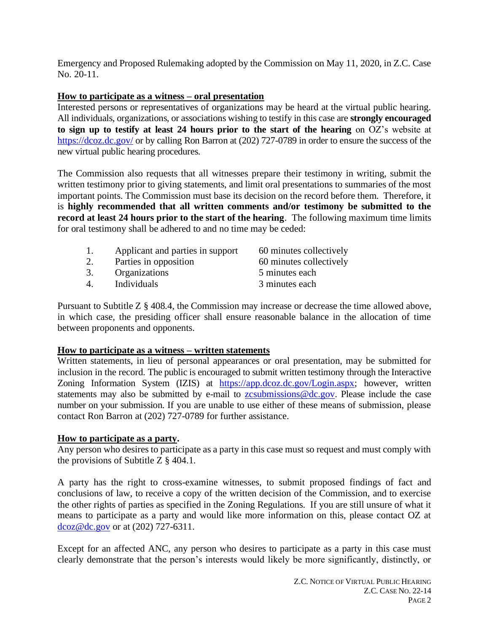Emergency and Proposed Rulemaking adopted by the Commission on May 11, 2020, in Z.C. Case No. 20-11.

### **How to participate as a witness – oral presentation**

Interested persons or representatives of organizations may be heard at the virtual public hearing. All individuals, organizations, or associations wishing to testify in this case are **strongly encouraged to sign up to testify at least 24 hours prior to the start of the hearing** on OZ's website at <https://dcoz.dc.gov/> or by calling Ron Barron at (202) 727-0789 in order to ensure the success of the new virtual public hearing procedures.

The Commission also requests that all witnesses prepare their testimony in writing, submit the written testimony prior to giving statements, and limit oral presentations to summaries of the most important points. The Commission must base its decision on the record before them. Therefore, it is **highly recommended that all written comments and/or testimony be submitted to the record at least 24 hours prior to the start of the hearing**. The following maximum time limits for oral testimony shall be adhered to and no time may be ceded:

1. Applicant and parties in support 60 minutes collectively 2. Parties in opposition 60 minutes collectively 3. Organizations 5 minutes each 4. Individuals 3 minutes each

Pursuant to Subtitle Z § 408.4, the Commission may increase or decrease the time allowed above, in which case, the presiding officer shall ensure reasonable balance in the allocation of time between proponents and opponents.

### **How to participate as a witness – written statements**

Written statements, in lieu of personal appearances or oral presentation, may be submitted for inclusion in the record. The public is encouraged to submit written testimony through the Interactive Zoning Information System (IZIS) at [https://app.dcoz.dc.gov/Login.aspx;](https://app.dcoz.dc.gov/Login.aspx) however, written statements may also be submitted by e-mail to zesubmissions@dc.gov. Please include the case number on your submission. If you are unable to use either of these means of submission, please contact Ron Barron at (202) 727-0789 for further assistance.

### **How to participate as a party.**

Any person who desires to participate as a party in this case must so request and must comply with the provisions of Subtitle Z § 404.1.

A party has the right to cross-examine witnesses, to submit proposed findings of fact and conclusions of law, to receive a copy of the written decision of the Commission, and to exercise the other rights of parties as specified in the Zoning Regulations. If you are still unsure of what it means to participate as a party and would like more information on this, please contact OZ at [dcoz@dc.gov](mailto:dcoz@dc.gov) or at (202) 727-6311.

Except for an affected ANC, any person who desires to participate as a party in this case must clearly demonstrate that the person's interests would likely be more significantly, distinctly, or